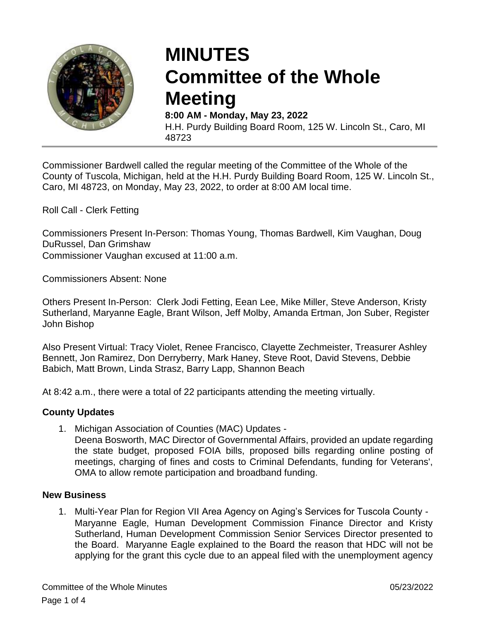

# **MINUTES Committee of the Whole Meeting**

**8:00 AM - Monday, May 23, 2022** H.H. Purdy Building Board Room, 125 W. Lincoln St., Caro, MI 48723

Commissioner Bardwell called the regular meeting of the Committee of the Whole of the County of Tuscola, Michigan, held at the H.H. Purdy Building Board Room, 125 W. Lincoln St., Caro, MI 48723, on Monday, May 23, 2022, to order at 8:00 AM local time.

Roll Call - Clerk Fetting

Commissioners Present In-Person: Thomas Young, Thomas Bardwell, Kim Vaughan, Doug DuRussel, Dan Grimshaw

Commissioner Vaughan excused at 11:00 a.m.

Commissioners Absent: None

Others Present In-Person: Clerk Jodi Fetting, Eean Lee, Mike Miller, Steve Anderson, Kristy Sutherland, Maryanne Eagle, Brant Wilson, Jeff Molby, Amanda Ertman, Jon Suber, Register John Bishop

Also Present Virtual: Tracy Violet, Renee Francisco, Clayette Zechmeister, Treasurer Ashley Bennett, Jon Ramirez, Don Derryberry, Mark Haney, Steve Root, David Stevens, Debbie Babich, Matt Brown, Linda Strasz, Barry Lapp, Shannon Beach

At 8:42 a.m., there were a total of 22 participants attending the meeting virtually.

#### **County Updates**

1. Michigan Association of Counties (MAC) Updates -

Deena Bosworth, MAC Director of Governmental Affairs, provided an update regarding the state budget, proposed FOIA bills, proposed bills regarding online posting of meetings, charging of fines and costs to Criminal Defendants, funding for Veterans', OMA to allow remote participation and broadband funding.

#### **New Business**

1. Multi-Year Plan for Region VII Area Agency on Aging's Services for Tuscola County - Maryanne Eagle, Human Development Commission Finance Director and Kristy Sutherland, Human Development Commission Senior Services Director presented to the Board. Maryanne Eagle explained to the Board the reason that HDC will not be applying for the grant this cycle due to an appeal filed with the unemployment agency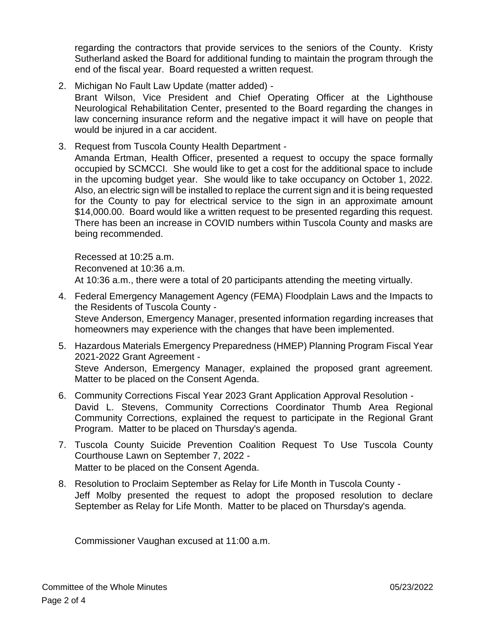regarding the contractors that provide services to the seniors of the County. Kristy Sutherland asked the Board for additional funding to maintain the program through the end of the fiscal year. Board requested a written request.

- 2. Michigan No Fault Law Update (matter added) Brant Wilson, Vice President and Chief Operating Officer at the Lighthouse Neurological Rehabilitation Center, presented to the Board regarding the changes in law concerning insurance reform and the negative impact it will have on people that would be injured in a car accident.
- 3. Request from Tuscola County Health Department Amanda Ertman, Health Officer, presented a request to occupy the space formally occupied by SCMCCI. She would like to get a cost for the additional space to include in the upcoming budget year. She would like to take occupancy on October 1, 2022. Also, an electric sign will be installed to replace the current sign and it is being requested for the County to pay for electrical service to the sign in an approximate amount \$14,000.00. Board would like a written request to be presented regarding this request. There has been an increase in COVID numbers within Tuscola County and masks are being recommended.

Recessed at 10:25 a.m. Reconvened at 10:36 a.m. At 10:36 a.m., there were a total of 20 participants attending the meeting virtually.

- 4. Federal Emergency Management Agency (FEMA) Floodplain Laws and the Impacts to the Residents of Tuscola County - Steve Anderson, Emergency Manager, presented information regarding increases that homeowners may experience with the changes that have been implemented.
- 5. Hazardous Materials Emergency Preparedness (HMEP) Planning Program Fiscal Year 2021-2022 Grant Agreement - Steve Anderson, Emergency Manager, explained the proposed grant agreement. Matter to be placed on the Consent Agenda.
- 6. Community Corrections Fiscal Year 2023 Grant Application Approval Resolution David L. Stevens, Community Corrections Coordinator Thumb Area Regional Community Corrections, explained the request to participate in the Regional Grant Program. Matter to be placed on Thursday's agenda.
- 7. Tuscola County Suicide Prevention Coalition Request To Use Tuscola County Courthouse Lawn on September 7, 2022 - Matter to be placed on the Consent Agenda.
- 8. Resolution to Proclaim September as Relay for Life Month in Tuscola County Jeff Molby presented the request to adopt the proposed resolution to declare September as Relay for Life Month. Matter to be placed on Thursday's agenda.

Commissioner Vaughan excused at 11:00 a.m.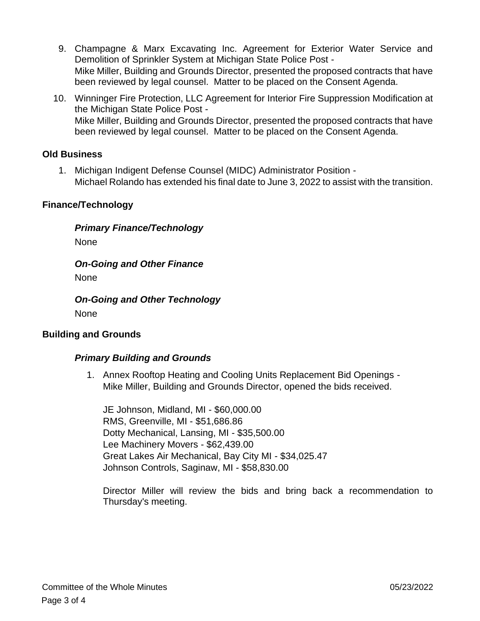- 9. Champagne & Marx Excavating Inc. Agreement for Exterior Water Service and Demolition of Sprinkler System at Michigan State Police Post - Mike Miller, Building and Grounds Director, presented the proposed contracts that have been reviewed by legal counsel. Matter to be placed on the Consent Agenda.
- 10. Winninger Fire Protection, LLC Agreement for Interior Fire Suppression Modification at the Michigan State Police Post - Mike Miller, Building and Grounds Director, presented the proposed contracts that have been reviewed by legal counsel. Matter to be placed on the Consent Agenda.

# **Old Business**

1. Michigan Indigent Defense Counsel (MIDC) Administrator Position - Michael Rolando has extended his final date to June 3, 2022 to assist with the transition.

# **Finance/Technology**

*Primary Finance/Technology*

None

# *On-Going and Other Finance*

None

# *On-Going and Other Technology* None

# **Building and Grounds**

# *Primary Building and Grounds*

1. Annex Rooftop Heating and Cooling Units Replacement Bid Openings - Mike Miller, Building and Grounds Director, opened the bids received.

JE Johnson, Midland, MI - \$60,000.00 RMS, Greenville, MI - \$51,686.86 Dotty Mechanical, Lansing, MI - \$35,500.00 Lee Machinery Movers - \$62,439.00 Great Lakes Air Mechanical, Bay City MI - \$34,025.47 Johnson Controls, Saginaw, MI - \$58,830.00

Director Miller will review the bids and bring back a recommendation to Thursday's meeting.